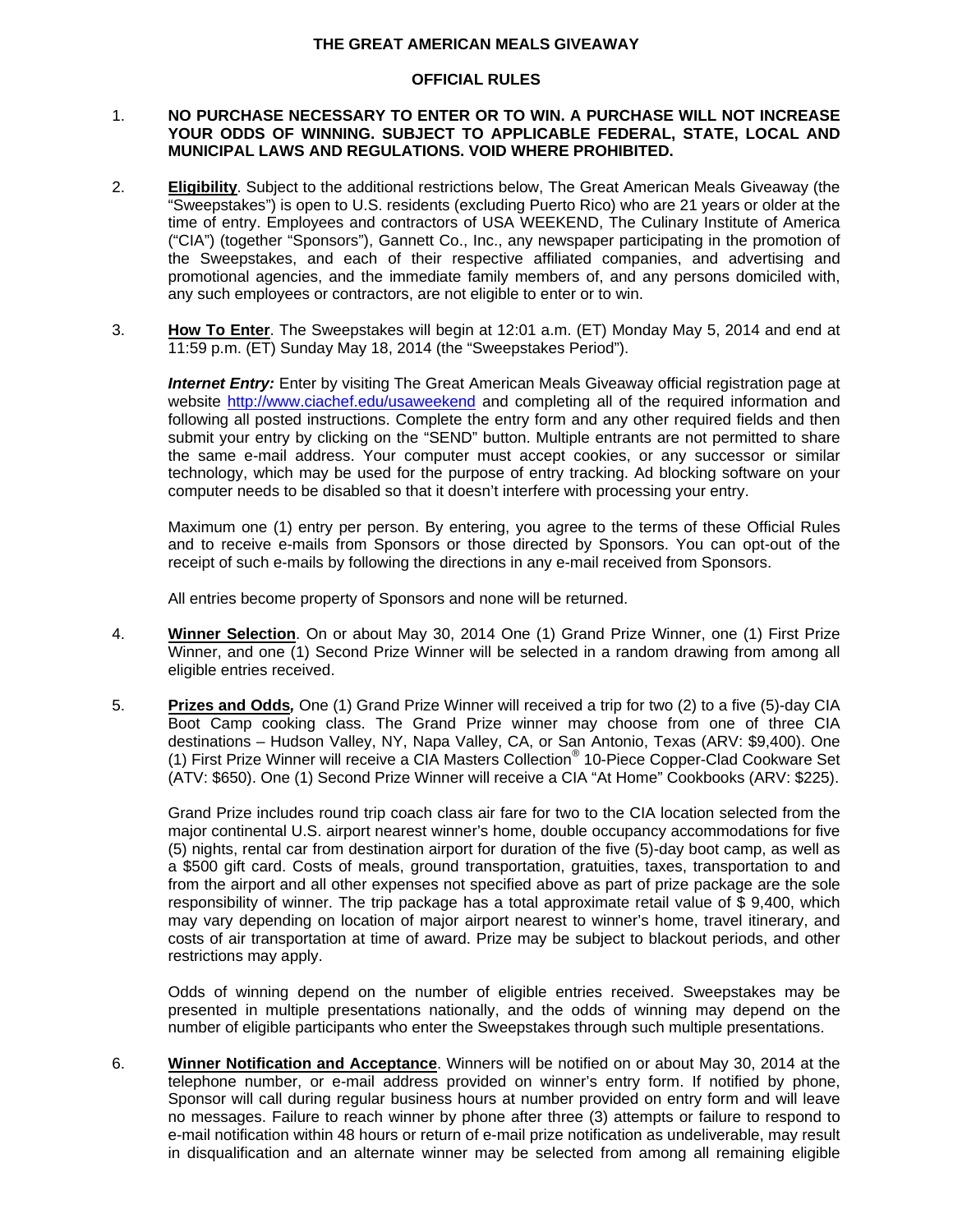## **THE GREAT AMERICAN MEALS GIVEAWAY**

## **OFFICIAL RULES**

## 1. **NO PURCHASE NECESSARY TO ENTER OR TO WIN. A PURCHASE WILL NOT INCREASE YOUR ODDS OF WINNING. SUBJECT TO APPLICABLE FEDERAL, STATE, LOCAL AND MUNICIPAL LAWS AND REGULATIONS. VOID WHERE PROHIBITED.**

- 2. **Eligibility**. Subject to the additional restrictions below, The Great American Meals Giveaway (the "Sweepstakes") is open to U.S. residents (excluding Puerto Rico) who are 21 years or older at the time of entry. Employees and contractors of USA WEEKEND, The Culinary Institute of America ("CIA") (together "Sponsors"), Gannett Co., Inc., any newspaper participating in the promotion of the Sweepstakes, and each of their respective affiliated companies, and advertising and promotional agencies, and the immediate family members of, and any persons domiciled with, any such employees or contractors, are not eligible to enter or to win.
- 3. **How To Enter**. The Sweepstakes will begin at 12:01 a.m. (ET) Monday May 5, 2014 and end at 11:59 p.m. (ET) Sunday May 18, 2014 (the "Sweepstakes Period").

**Internet Entry:** Enter by visiting The Great American Meals Giveaway official registration page at website http://www.ciachef.edu/usaweekend and completing all of the required information and following all posted instructions. Complete the entry form and any other required fields and then submit your entry by clicking on the "SEND" button. Multiple entrants are not permitted to share the same e-mail address. Your computer must accept cookies, or any successor or similar technology, which may be used for the purpose of entry tracking. Ad blocking software on your computer needs to be disabled so that it doesn't interfere with processing your entry.

Maximum one (1) entry per person. By entering, you agree to the terms of these Official Rules and to receive e-mails from Sponsors or those directed by Sponsors. You can opt-out of the receipt of such e-mails by following the directions in any e-mail received from Sponsors.

All entries become property of Sponsors and none will be returned.

- 4. **Winner Selection**. On or about May 30, 2014 One (1) Grand Prize Winner, one (1) First Prize Winner, and one (1) Second Prize Winner will be selected in a random drawing from among all eligible entries received.
- 5. **Prizes and Odds***,* One (1) Grand Prize Winner will received a trip for two (2) to a five (5)-day CIA Boot Camp cooking class. The Grand Prize winner may choose from one of three CIA destinations – Hudson Valley, NY, Napa Valley, CA, or San Antonio, Texas (ARV: \$9,400). One (1) First Prize Winner will receive a CIA Masters Collection® 10-Piece Copper-Clad Cookware Set (ATV: \$650). One (1) Second Prize Winner will receive a CIA "At Home" Cookbooks (ARV: \$225).

Grand Prize includes round trip coach class air fare for two to the CIA location selected from the major continental U.S. airport nearest winner's home, double occupancy accommodations for five (5) nights, rental car from destination airport for duration of the five (5)-day boot camp, as well as a \$500 gift card. Costs of meals, ground transportation, gratuities, taxes, transportation to and from the airport and all other expenses not specified above as part of prize package are the sole responsibility of winner. The trip package has a total approximate retail value of \$ 9,400, which may vary depending on location of major airport nearest to winner's home, travel itinerary, and costs of air transportation at time of award. Prize may be subject to blackout periods, and other restrictions may apply.

Odds of winning depend on the number of eligible entries received. Sweepstakes may be presented in multiple presentations nationally, and the odds of winning may depend on the number of eligible participants who enter the Sweepstakes through such multiple presentations.

6. **Winner Notification and Acceptance**. Winners will be notified on or about May 30, 2014 at the telephone number, or e-mail address provided on winner's entry form. If notified by phone, Sponsor will call during regular business hours at number provided on entry form and will leave no messages. Failure to reach winner by phone after three (3) attempts or failure to respond to e-mail notification within 48 hours or return of e-mail prize notification as undeliverable, may result in disqualification and an alternate winner may be selected from among all remaining eligible